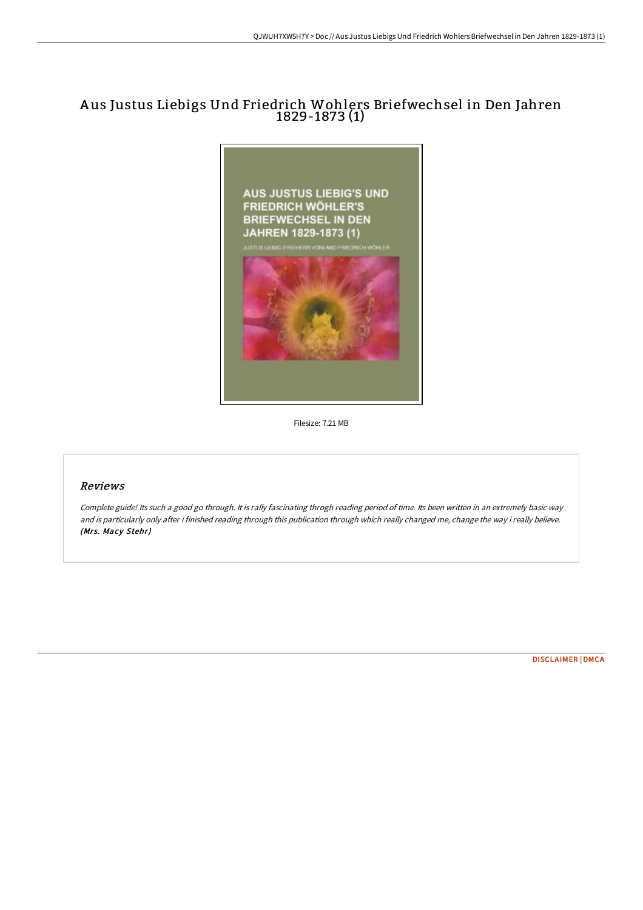## A us Justus Liebigs Und Friedrich Wohlers Briefwechsel in Den Jahren 1829-1873 (1)



Filesize: 7.21 MB

## Reviews

Complete guide! Its such <sup>a</sup> good go through. It is rally fascinating throgh reading period of time. Its been written in an extremely basic way and is particularly only after i finished reading through this publication through which really changed me, change the way i really believe. (Mrs. Macy Stehr)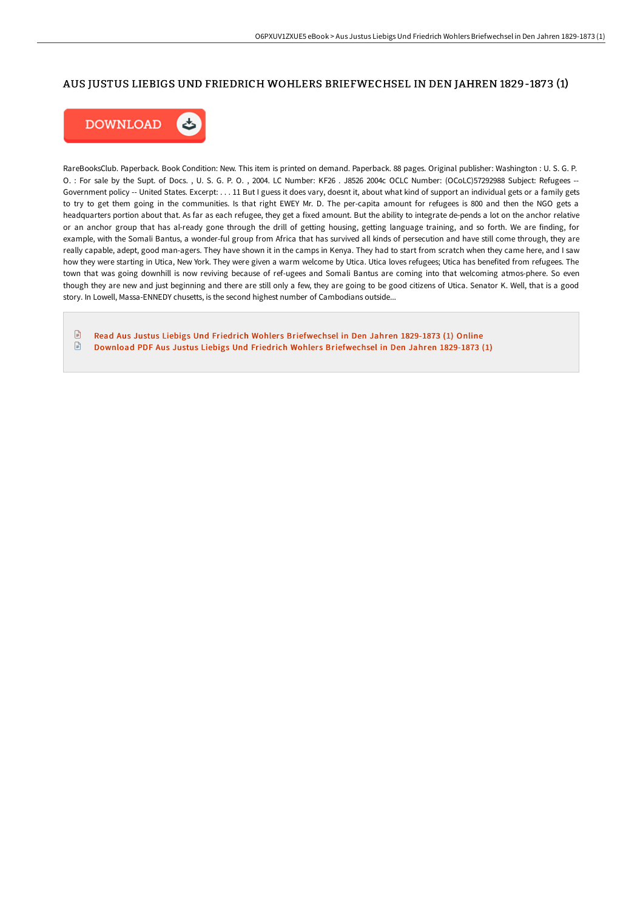## AUS JUSTUS LIEBIGS UND FRIEDRICH WOHLERS BRIEFWECHSEL IN DEN JAHREN 1829-1873 (1)



RareBooksClub. Paperback. Book Condition: New. This item is printed on demand. Paperback. 88 pages. Original publisher: Washington : U. S. G. P. O. : For sale by the Supt. of Docs. , U. S. G. P. O. , 2004. LC Number: KF26 . J8526 2004c OCLC Number: (OCoLC)57292988 Subject: Refugees -- Government policy -- United States. Excerpt: . . . 11 But I guess it does vary, doesnt it, about what kind of support an individual gets or a family gets to try to get them going in the communities. Is that right EWEY Mr. D. The per-capita amount for refugees is 800 and then the NGO gets a headquarters portion about that. As far as each refugee, they get a fixed amount. But the ability to integrate de-pends a lot on the anchor relative or an anchor group that has al-ready gone through the drill of getting housing, getting language training, and so forth. We are finding, for example, with the Somali Bantus, a wonder-ful group from Africa that has survived all kinds of persecution and have still come through, they are really capable, adept, good man-agers. They have shown it in the camps in Kenya. They had to start from scratch when they came here, and I saw how they were starting in Utica, New York. They were given a warm welcome by Utica. Utica loves refugees; Utica has benefited from refugees. The town that was going downhill is now reviving because of ref-ugees and Somali Bantus are coming into that welcoming atmos-phere. So even though they are new and just beginning and there are still only a few, they are going to be good citizens of Utica. Senator K. Well, that is a good story. In Lowell, Massa-ENNEDY chusetts, is the second highest number of Cambodians outside...

 $\mathbb{R}$ Read Aus Justus Liebigs Und Friedrich Wohlers [Briefwechsel](http://digilib.live/aus-justus-liebigs-und-friedrich-wohlers-briefwe.html) in Den Jahren 1829-1873 (1) Online  $\begin{array}{c} \hline \end{array}$ Download PDF Aus Justus Liebigs Und Friedrich Wohlers [Briefwechsel](http://digilib.live/aus-justus-liebigs-und-friedrich-wohlers-briefwe.html) in Den Jahren 1829-1873 (1)